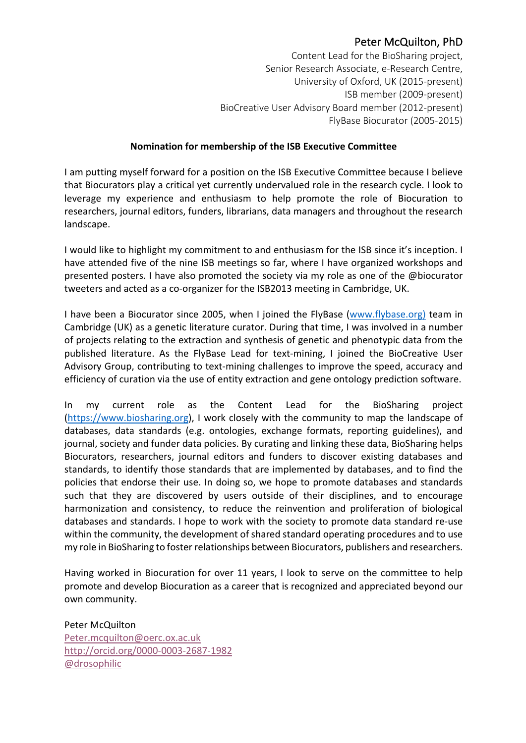## Peter McQuilton, PhD

Content Lead for the BioSharing project, Senior Research Associate, e-Research Centre, University of Oxford, UK (2015-present) ISB member (2009-present) BioCreative User Advisory Board member (2012-present) FlyBase Biocurator (2005-2015)

## **Nomination for membership of the ISB Executive Committee**

I am putting myself forward for a position on the ISB Executive Committee because I believe that Biocurators play a critical yet currently undervalued role in the research cycle. I look to leverage my experience and enthusiasm to help promote the role of Biocuration to researchers, journal editors, funders, librarians, data managers and throughout the research landscape.

I would like to highlight my commitment to and enthusiasm for the ISB since it's inception. I have attended five of the nine ISB meetings so far, where I have organized workshops and presented posters. I have also promoted the society via my role as one of the @biocurator tweeters and acted as a co-organizer for the ISB2013 meeting in Cambridge, UK.

I have been a Biocurator since 2005, when I joined the FlyBase (www.flybase.org) team in Cambridge (UK) as a genetic literature curator. During that time, I was involved in a number of projects relating to the extraction and synthesis of genetic and phenotypic data from the published literature. As the FlyBase Lead for text-mining, I joined the BioCreative User Advisory Group, contributing to text-mining challenges to improve the speed, accuracy and efficiency of curation via the use of entity extraction and gene ontology prediction software.

In my current role as the Content Lead for the BioSharing project (https://www.biosharing.org), I work closely with the community to map the landscape of databases, data standards (e.g. ontologies, exchange formats, reporting guidelines), and journal, society and funder data policies. By curating and linking these data, BioSharing helps Biocurators, researchers, journal editors and funders to discover existing databases and standards, to identify those standards that are implemented by databases, and to find the policies that endorse their use. In doing so, we hope to promote databases and standards such that they are discovered by users outside of their disciplines, and to encourage harmonization and consistency, to reduce the reinvention and proliferation of biological databases and standards. I hope to work with the society to promote data standard re-use within the community, the development of shared standard operating procedures and to use my role in BioSharing to foster relationships between Biocurators, publishers and researchers.

Having worked in Biocuration for over 11 years, I look to serve on the committee to help promote and develop Biocuration as a career that is recognized and appreciated beyond our own community.

Peter McQuilton Peter.mcquilton@oerc.ox.ac.uk http://orcid.org/0000-0003-2687-1982 @drosophilic